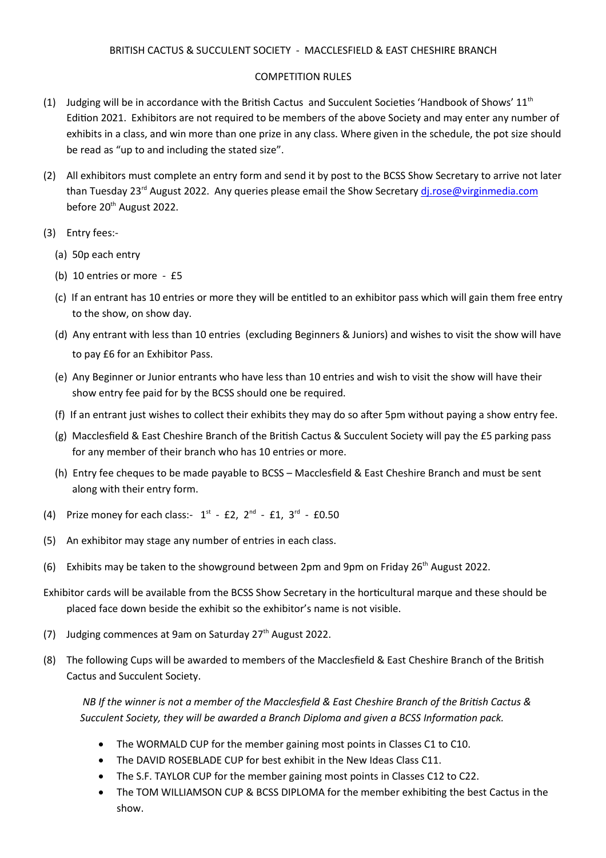### COMPETITION RULES

- (1) Judging will be in accordance with the British Cactus and Succulent Societies 'Handbook of Shows'  $11<sup>th</sup>$ Edition 2021. Exhibitors are not required to be members of the above Society and may enter any number of exhibits in a class, and win more than one prize in any class. Where given in the schedule, the pot size should be read as "up to and including the stated size".
- (2) All exhibitors must complete an entry form and send it by post to the BCSS Show Secretary to arrive not later than Tuesday 23<sup>rd</sup> August 2022. Any queries please email the Show Secretary di.rose@virginmedia.com before 20<sup>th</sup> August 2022.
- (3) Entry fees:-
	- (a) 50p each entry
	- (b) 10 entries or more £5
	- (c) If an entrant has 10 entries or more they will be entitled to an exhibitor pass which will gain them free entry to the show, on show day.
	- (d) Any entrant with less than 10 entries (excluding Beginners & Juniors) and wishes to visit the show will have to pay £6 for an Exhibitor Pass.
	- (e) Any Beginner or Junior entrants who have less than 10 entries and wish to visit the show will have their show entry fee paid for by the BCSS should one be required.
	- (f) If an entrant just wishes to collect their exhibits they may do so after 5pm without paying a show entry fee.
	- (g) Macclesfield & East Cheshire Branch of the British Cactus & Succulent Society will pay the £5 parking pass for any member of their branch who has 10 entries or more.
	- (h) Entry fee cheques to be made payable to BCSS Macclesfield & East Cheshire Branch and must be sent along with their entry form.
- (4) Prize money for each class:-  $1^{st}$  £2,  $2^{nd}$  £1,  $3^{rd}$  £0.50
- (5) An exhibitor may stage any number of entries in each class.
- (6) Exhibits may be taken to the showground between 2pm and 9pm on Friday  $26<sup>th</sup>$  August 2022.
- Exhibitor cards will be available from the BCSS Show Secretary in the horticultural marque and these should be placed face down beside the exhibit so the exhibitor's name is not visible.
- (7) Judging commences at 9am on Saturday  $27<sup>th</sup>$  August 2022.
- (8) The following Cups will be awarded to members of the Macclesfield & East Cheshire Branch of the British Cactus and Succulent Society.

*NB If the winner is not a member of the Macclesfield & East Cheshire Branch of the British Cactus & Succulent Society, they will be awarded a Branch Diploma and given a BCSS Information pack.* 

- The WORMALD CUP for the member gaining most points in Classes C1 to C10.
- The DAVID ROSEBLADE CUP for best exhibit in the New Ideas Class C11.
- The S.F. TAYLOR CUP for the member gaining most points in Classes C12 to C22.
- The TOM WILLIAMSON CUP & BCSS DIPLOMA for the member exhibiting the best Cactus in the show.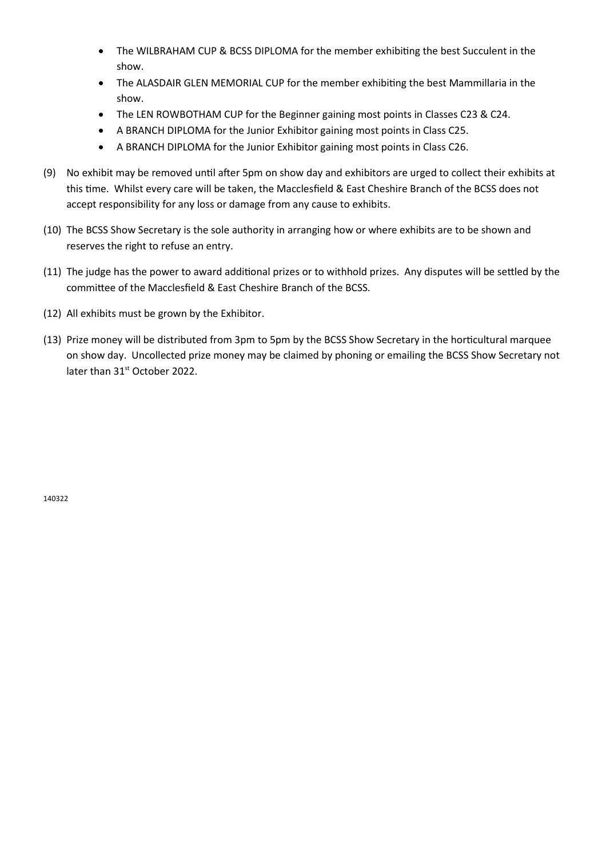- The WILBRAHAM CUP & BCSS DIPLOMA for the member exhibiting the best Succulent in the show.
- The ALASDAIR GLEN MEMORIAL CUP for the member exhibiting the best Mammillaria in the show.
- The LEN ROWBOTHAM CUP for the Beginner gaining most points in Classes C23 & C24.
- A BRANCH DIPLOMA for the Junior Exhibitor gaining most points in Class C25.
- A BRANCH DIPLOMA for the Junior Exhibitor gaining most points in Class C26.
- (9) No exhibit may be removed until after 5pm on show day and exhibitors are urged to collect their exhibits at this time. Whilst every care will be taken, the Macclesfield & East Cheshire Branch of the BCSS does not accept responsibility for any loss or damage from any cause to exhibits.
- (10) The BCSS Show Secretary is the sole authority in arranging how or where exhibits are to be shown and reserves the right to refuse an entry.
- (11) The judge has the power to award additional prizes or to withhold prizes. Any disputes will be settled by the committee of the Macclesfield & East Cheshire Branch of the BCSS.
- (12) All exhibits must be grown by the Exhibitor.
- (13) Prize money will be distributed from 3pm to 5pm by the BCSS Show Secretary in the horticultural marquee on show day. Uncollected prize money may be claimed by phoning or emailing the BCSS Show Secretary not later than 31<sup>st</sup> October 2022.

140322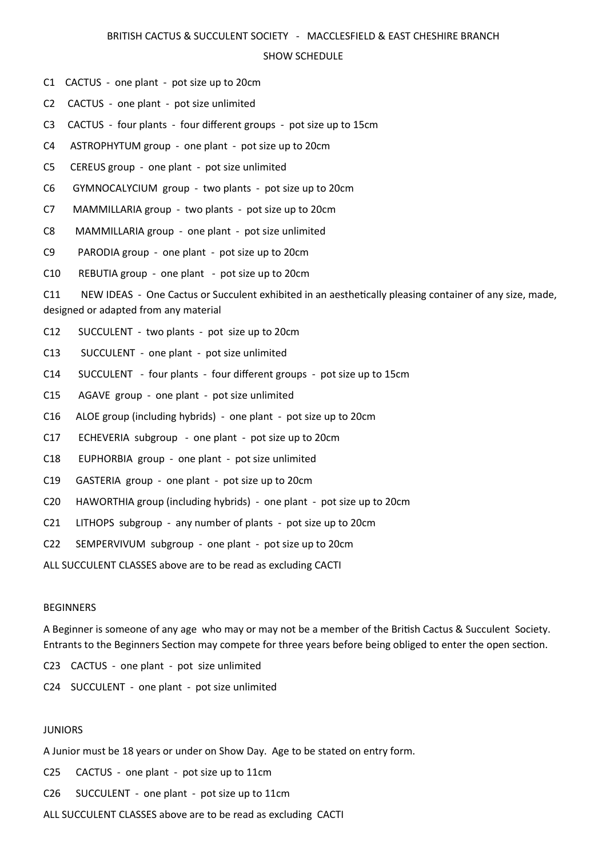#### BRITISH CACTUS & SUCCULENT SOCIETY - MACCLESFIELD & EAST CHESHIRE BRANCH

#### SHOW SCHEDULE

C1 CACTUS - one plant - pot size up to 20cm

C2 CACTUS - one plant - pot size unlimited

C3 CACTUS - four plants - four different groups - pot size up to 15cm

C4 ASTROPHYTUM group - one plant - pot size up to 20cm

C5 CEREUS group - one plant - pot size unlimited

C6 GYMNOCALYCIUM group - two plants - pot size up to 20cm

C7 MAMMILLARIA group - two plants - pot size up to 20cm

C8 MAMMILLARIA group - one plant - pot size unlimited

C9 PARODIA group - one plant - pot size up to 20cm

C10 REBUTIA group - one plant - pot size up to 20cm

C11 NEW IDEAS - One Cactus or Succulent exhibited in an aesthetically pleasing container of any size, made, designed or adapted from any material

C12 SUCCULENT - two plants - pot size up to 20cm

C13 SUCCULENT - one plant - pot size unlimited

C14 SUCCULENT - four plants - four different groups - pot size up to 15cm

C15 AGAVE group - one plant - pot size unlimited

C16 ALOE group (including hybrids) - one plant - pot size up to 20cm

C17 ECHEVERIA subgroup - one plant - pot size up to 20cm

C18 EUPHORBIA group - one plant - pot size unlimited

C19 GASTERIA group - one plant - pot size up to 20cm

- C20 HAWORTHIA group (including hybrids) one plant pot size up to 20cm
- C21 LITHOPS subgroup any number of plants pot size up to 20cm

C22 SEMPERVIVUM subgroup - one plant - pot size up to 20cm

ALL SUCCULENT CLASSES above are to be read as excluding CACTI

### BEGINNERS

A Beginner is someone of any age who may or may not be a member of the British Cactus & Succulent Society. Entrants to the Beginners Section may compete for three years before being obliged to enter the open section.

C23 CACTUS - one plant - pot size unlimited

C24 SUCCULENT - one plant - pot size unlimited

### **JUNIORS**

A Junior must be 18 years or under on Show Day. Age to be stated on entry form.

C25 CACTUS - one plant - pot size up to 11cm

C26 SUCCULENT - one plant - pot size up to 11cm

ALL SUCCULENT CLASSES above are to be read as excluding CACTI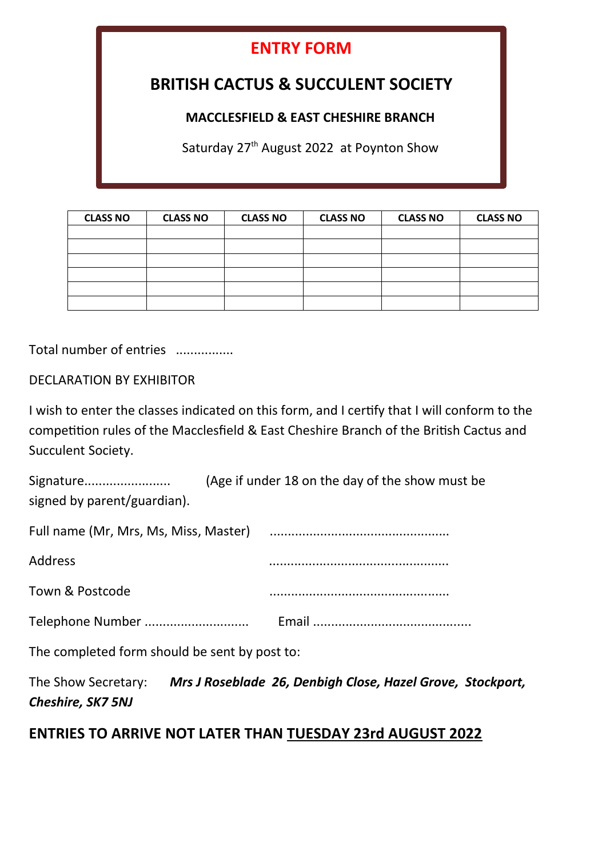# **ENTRY FORM**

# **BRITISH CACTUS & SUCCULENT SOCIETY**

## **MACCLESFIELD & EAST CHESHIRE BRANCH**

Saturday 27<sup>th</sup> August 2022 at Poynton Show

| <b>CLASS NO</b> | <b>CLASS NO</b> | <b>CLASS NO</b> | <b>CLASS NO</b> | <b>CLASS NO</b> | <b>CLASS NO</b> |
|-----------------|-----------------|-----------------|-----------------|-----------------|-----------------|
|                 |                 |                 |                 |                 |                 |
|                 |                 |                 |                 |                 |                 |
|                 |                 |                 |                 |                 |                 |
|                 |                 |                 |                 |                 |                 |
|                 |                 |                 |                 |                 |                 |
|                 |                 |                 |                 |                 |                 |

Total number of entries ................

DECLARATION BY EXHIBITOR

I wish to enter the classes indicated on this form, and I certify that I will conform to the competition rules of the Macclesfield & East Cheshire Branch of the British Cactus and Succulent Society.

| Signature<br>signed by parent/guardian). | (Age if under 18 on the day of the show must be |
|------------------------------------------|-------------------------------------------------|
|                                          |                                                 |
| Address                                  |                                                 |
| Town & Postcode                          |                                                 |

Telephone Number ............................. Email ............................................

The completed form should be sent by post to:

The Show Secretary: *Mrs J Roseblade 26, Denbigh Close, Hazel Grove, Stockport, Cheshire, SK7 5NJ* 

## **ENTRIES TO ARRIVE NOT LATER THAN TUESDAY 23rd AUGUST 2022**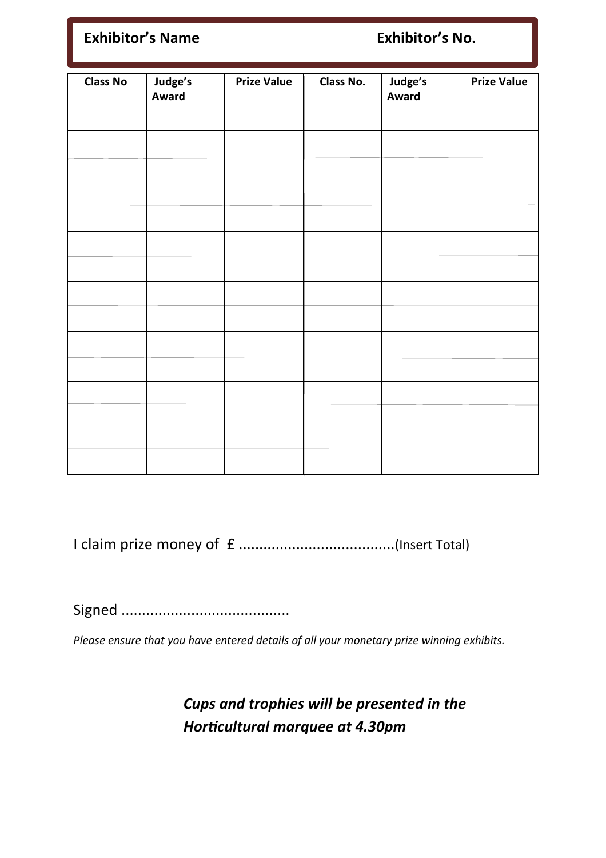| <b>Exhibitor's Name</b> |                         |                    | Exhibitor's No. |                  |                    |
|-------------------------|-------------------------|--------------------|-----------------|------------------|--------------------|
| <b>Class No</b>         | Judge's<br><b>Award</b> | <b>Prize Value</b> | Class No.       | Judge's<br>Award | <b>Prize Value</b> |
|                         |                         |                    |                 |                  |                    |
|                         |                         |                    |                 |                  |                    |
|                         |                         |                    |                 |                  |                    |
|                         |                         |                    |                 |                  |                    |
|                         |                         |                    |                 |                  |                    |
|                         |                         |                    |                 |                  |                    |
|                         |                         |                    |                 |                  |                    |
|                         |                         |                    |                 |                  |                    |
|                         |                         |                    |                 |                  |                    |
|                         |                         |                    |                 |                  |                    |
|                         |                         |                    |                 |                  |                    |
|                         |                         |                    |                 |                  |                    |
|                         |                         |                    |                 |                  |                    |

I claim prize money of £ ......................................(Insert Total)

Signed .........................................

*Please ensure that you have entered details of all your monetary prize winning exhibits.*

*Cups and trophies will be presented in the*  **Horticultural marquee at 4.30pm**